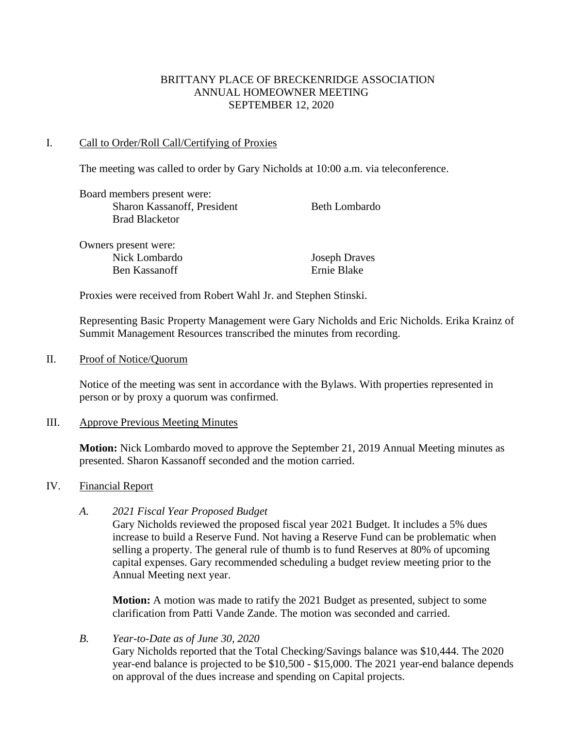### BRITTANY PLACE OF BRECKENRIDGE ASSOCIATION ANNUAL HOMEOWNER MEETING SEPTEMBER 12, 2020

### I. Call to Order/Roll Call/Certifying of Proxies

The meeting was called to order by Gary Nicholds at 10:00 a.m. via teleconference.

| Board members present were: |                      |
|-----------------------------|----------------------|
| Sharon Kassanoff, President | <b>Beth Lombardo</b> |
| <b>Brad Blacketor</b>       |                      |
| Owners present were:        |                      |
| Nick Lombardo               | <b>Joseph Draves</b> |
| Ben Kassanoff               | Ernie Blake          |

Proxies were received from Robert Wahl Jr. and Stephen Stinski.

Representing Basic Property Management were Gary Nicholds and Eric Nicholds. Erika Krainz of Summit Management Resources transcribed the minutes from recording.

#### II. Proof of Notice/Quorum

Notice of the meeting was sent in accordance with the Bylaws. With properties represented in person or by proxy a quorum was confirmed.

#### III. Approve Previous Meeting Minutes

**Motion:** Nick Lombardo moved to approve the September 21, 2019 Annual Meeting minutes as presented. Sharon Kassanoff seconded and the motion carried.

### IV. Financial Report

### *A. 2021 Fiscal Year Proposed Budget*

Gary Nicholds reviewed the proposed fiscal year 2021 Budget. It includes a 5% dues increase to build a Reserve Fund. Not having a Reserve Fund can be problematic when selling a property. The general rule of thumb is to fund Reserves at 80% of upcoming capital expenses. Gary recommended scheduling a budget review meeting prior to the Annual Meeting next year.

**Motion:** A motion was made to ratify the 2021 Budget as presented, subject to some clarification from Patti Vande Zande. The motion was seconded and carried.

*B. Year-to-Date as of June 30, 2020* Gary Nicholds reported that the Total Checking/Savings balance was \$10,444. The 2020 year-end balance is projected to be \$10,500 - \$15,000. The 2021 year-end balance depends on approval of the dues increase and spending on Capital projects.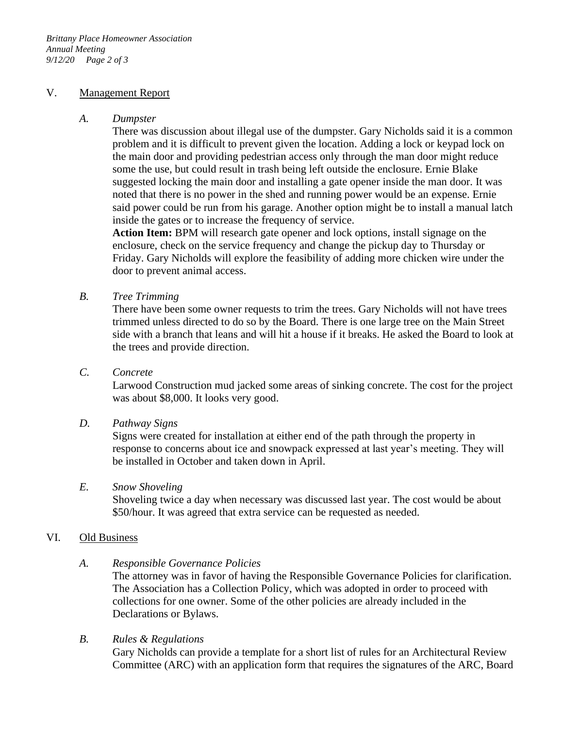#### V. Management Report

#### *A. Dumpster*

There was discussion about illegal use of the dumpster. Gary Nicholds said it is a common problem and it is difficult to prevent given the location. Adding a lock or keypad lock on the main door and providing pedestrian access only through the man door might reduce some the use, but could result in trash being left outside the enclosure. Ernie Blake suggested locking the main door and installing a gate opener inside the man door. It was noted that there is no power in the shed and running power would be an expense. Ernie said power could be run from his garage. Another option might be to install a manual latch inside the gates or to increase the frequency of service.

**Action Item:** BPM will research gate opener and lock options, install signage on the enclosure, check on the service frequency and change the pickup day to Thursday or Friday. Gary Nicholds will explore the feasibility of adding more chicken wire under the door to prevent animal access.

*B. Tree Trimming*

There have been some owner requests to trim the trees. Gary Nicholds will not have trees trimmed unless directed to do so by the Board. There is one large tree on the Main Street side with a branch that leans and will hit a house if it breaks. He asked the Board to look at the trees and provide direction.

*C. Concrete*

Larwood Construction mud jacked some areas of sinking concrete. The cost for the project was about \$8,000. It looks very good.

### *D. Pathway Signs*

Signs were created for installation at either end of the path through the property in response to concerns about ice and snowpack expressed at last year's meeting. They will be installed in October and taken down in April.

### *E. Snow Shoveling*

Shoveling twice a day when necessary was discussed last year. The cost would be about \$50/hour. It was agreed that extra service can be requested as needed.

### VI. Old Business

### *A. Responsible Governance Policies*

The attorney was in favor of having the Responsible Governance Policies for clarification. The Association has a Collection Policy, which was adopted in order to proceed with collections for one owner. Some of the other policies are already included in the Declarations or Bylaws.

*B. Rules & Regulations*

Gary Nicholds can provide a template for a short list of rules for an Architectural Review Committee (ARC) with an application form that requires the signatures of the ARC, Board